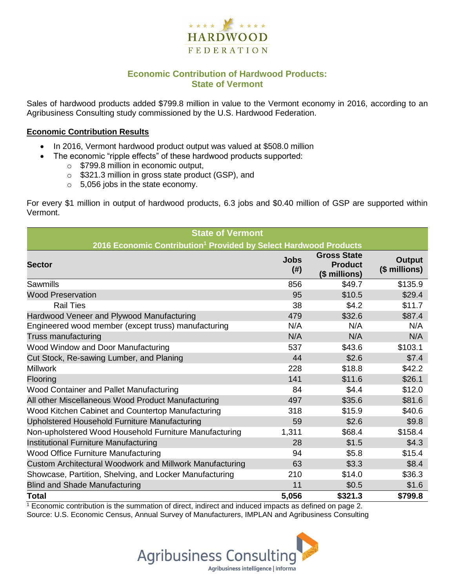

## **Economic Contribution of Hardwood Products: State of Vermont**

Sales of hardwood products added \$799.8 million in value to the Vermont economy in 2016, according to an Agribusiness Consulting study commissioned by the U.S. Hardwood Federation.

#### **Economic Contribution Results**

- In 2016, Vermont hardwood product output was valued at \$508.0 million
	- The economic "ripple effects" of these hardwood products supported:
		- o \$799.8 million in economic output,
		- o \$321.3 million in gross state product (GSP), and
		- o 5,056 jobs in the state economy.

For every \$1 million in output of hardwood products, 6.3 jobs and \$0.40 million of GSP are supported within Vermont.

| <b>State of Vermont</b>                                                      |                     |                                                       |                                |  |  |  |  |
|------------------------------------------------------------------------------|---------------------|-------------------------------------------------------|--------------------------------|--|--|--|--|
| 2016 Economic Contribution <sup>1</sup> Provided by Select Hardwood Products |                     |                                                       |                                |  |  |  |  |
| <b>Sector</b>                                                                | <b>Jobs</b><br>(# ) | <b>Gross State</b><br><b>Product</b><br>(\$ millions) | <b>Output</b><br>(\$ millions) |  |  |  |  |
| Sawmills                                                                     | 856                 | \$49.7                                                | \$135.9                        |  |  |  |  |
| <b>Wood Preservation</b>                                                     | 95                  | \$10.5                                                | \$29.4                         |  |  |  |  |
| <b>Rail Ties</b>                                                             | 38                  | \$4.2                                                 | \$11.7                         |  |  |  |  |
| Hardwood Veneer and Plywood Manufacturing                                    | 479                 | \$32.6                                                | \$87.4                         |  |  |  |  |
| Engineered wood member (except truss) manufacturing                          | N/A                 | N/A                                                   | N/A                            |  |  |  |  |
| Truss manufacturing                                                          | N/A                 | N/A                                                   | N/A                            |  |  |  |  |
| Wood Window and Door Manufacturing                                           | 537                 | \$43.6                                                | \$103.1                        |  |  |  |  |
| Cut Stock, Re-sawing Lumber, and Planing                                     | 44                  | \$2.6                                                 | \$7.4                          |  |  |  |  |
| <b>Millwork</b>                                                              | 228                 | \$18.8                                                | \$42.2                         |  |  |  |  |
| Flooring                                                                     | 141                 | \$11.6                                                | \$26.1                         |  |  |  |  |
| <b>Wood Container and Pallet Manufacturing</b>                               | 84                  | \$4.4                                                 | \$12.0                         |  |  |  |  |
| All other Miscellaneous Wood Product Manufacturing                           | 497                 | \$35.6                                                | \$81.6                         |  |  |  |  |
| Wood Kitchen Cabinet and Countertop Manufacturing                            | 318                 | \$15.9                                                | \$40.6                         |  |  |  |  |
| Upholstered Household Furniture Manufacturing                                | 59                  | \$2.6                                                 | \$9.8                          |  |  |  |  |
| Non-upholstered Wood Household Furniture Manufacturing                       | 1,311               | \$68.4                                                | \$158.4                        |  |  |  |  |
| Institutional Furniture Manufacturing                                        | 28                  | \$1.5                                                 | \$4.3                          |  |  |  |  |
| <b>Wood Office Furniture Manufacturing</b>                                   | 94                  | \$5.8                                                 | \$15.4                         |  |  |  |  |
| Custom Architectural Woodwork and Millwork Manufacturing                     | 63                  | \$3.3                                                 | \$8.4                          |  |  |  |  |
| Showcase, Partition, Shelving, and Locker Manufacturing                      | 210                 | \$14.0                                                | \$36.3                         |  |  |  |  |
| <b>Blind and Shade Manufacturing</b>                                         | 11                  | \$0.5                                                 | \$1.6                          |  |  |  |  |
| <b>Total</b>                                                                 | 5,056               | \$321.3                                               | \$799.8                        |  |  |  |  |

<sup>1</sup> Economic contribution is the summation of direct, indirect and induced impacts as defined on page 2. Source: U.S. Economic Census, Annual Survey of Manufacturers, IMPLAN and Agribusiness Consulting